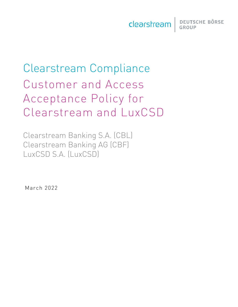Clearstream | DEUTSCHE BÖRSE

# Clearstream Compliance Customer and Access Acceptance Policy for Clearstream and LuxCSD

Clearstream Banking S.A. (CBL) Clearstream Banking AG (CBF) LuxCSD S.A. (LuxCSD)

March 2022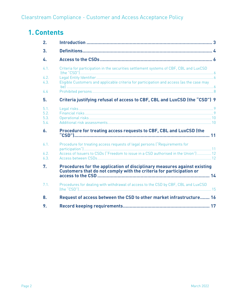## **1. Contents**

| 2.                           |                                                                                                                                                 |
|------------------------------|-------------------------------------------------------------------------------------------------------------------------------------------------|
| 3.                           |                                                                                                                                                 |
| 4.                           |                                                                                                                                                 |
| 4.1.                         | Criteria for participation in the securities settlement systems of CBF, CBL and LuxCSD                                                          |
| 4.2.<br>4.3.                 | Eligible Customers and applicable criteria for participation and access (as the case may                                                        |
| 4.4                          |                                                                                                                                                 |
| 5.                           | Criteria justifying refusal of access to CBF, CBL and LuxCSD (the "CSD") 9                                                                      |
| 5.1.<br>5.2.<br>5.3.<br>5.4. |                                                                                                                                                 |
| 6.                           | Procedure for treating access requests to CBF, CBL and LuxCSD (the                                                                              |
| 6.1.                         | Procedure for treating access requests of legal persons ("Requirements for                                                                      |
| 6.2.<br>6.3.                 | Access of Issuers to CSDs ("Freedom to issue in a CSD authorised in the Union") 12                                                              |
| 7.                           | Procedures for the application of disciplinary measures against existing<br>Customers that do not comply with the criteria for participation or |
| 7.1.                         | Procedures for dealing with withdrawal of access to the CSD by CBF, CBL and LuxCSD                                                              |
| 8.                           | Request of access between the CSD to other market infrastructure 16                                                                             |
| 9.                           |                                                                                                                                                 |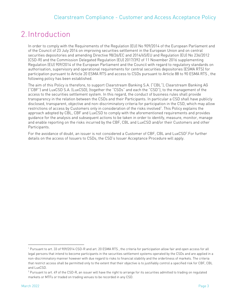## <span id="page-2-0"></span>2.Introduction

In order to comply with the Requirements of the Regulation (EU) No 909/2014 of the European Parliament and of the Council of 23 July 2014 on improving securities settlement in the European Union and on central securities depositories and amending Directive 98/26/EC and 2014/65/EU and Regulation (EU) No 236/2012 (CSD-R) and the Commission Delegated Regulation (EU) 2017/392 of 11 November 2016 supplementing Regulation (EU) 909/2014 of the European Parliament and the Council with regard to regulatory standards on authorisation, supervisory and operational requirements for central securities depositories (ESMA RTS) for participation pursuant to Article 20 ESMA RTS and access to CSDs pursuant to Article 88 to 90 ESMA RTS , the following policy has been established.

The aim of this Policy is therefore, to support Clearstream Banking S.A. ("CBL"), Clearstream Banking AG ("CBF") and LuxCSD S.A. (LuxCSD), (together the "CSDs" and each the "CSD"), to the management of the access to the securities settlement system. In this regard, the conduct of business rules shall provide transparency in the relation between the CSDs and their Participants. In particular a CSD shall have publicly disclosed, transparent, objective and non-discriminatory criteria for participation in the CSD, which may allow restrictions of access by Customers only in consideration of the risks involved<sup>1</sup>. This Policy explains the approach adopted by CBL, CBF and LuxCSD to comply with the aforementioned requirements and provides guidance for the analysis and subsequent actions to be taken in order to identify, measure, monitor, manage and enable reporting on the risks incurred by the CBF, CBL and LuxCSD and/or their Customers and other Participants.

For the avoidance of doubt, an issuer is not considered a Customer of CBF, CBL and LuxCSD<sup>2</sup>.For further details on the access of Issuers to CSDs, the CSD's Issuer Acceptance Procedure will apply.

<sup>1</sup> Pursuant to art. 33 of 909/2014 CSD-R and art. 20 ESMA RTS , the criteria for participation allow fair and open access for all legal persons that intend to become participants in the securities settlement systems operated by the CSDs and are applied in a non-discriminatory manner however with due regard to risks to financial stability and the orderliness of markets. The criteria that restrict access shall be permitted only to the extent that their objective is to justifiably control a specified risk for CBF, CBL and LuxCSD.

 $2$  Pursuant to art. 49 of the CSD-R, an issuer will have the right to arrange for its securities admitted to trading on regulated markets or MTFs or traded on trading venues to be recorded in any CSD.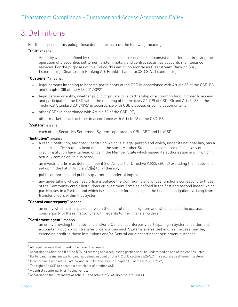## <span id="page-3-0"></span>3.Definitions

For the purpose of this policy, these defined terms have the following meaning:

**"CSD"** means:

− An entity which is defined by reference to certain core services that consist of settlement, implying the operation of a securities settlement system, notary and central securities accounts maintenance services. For the purposes of this Policy, this definition embraces Clearstream Banking S.A., Luxembourg, Clearstream Banking AG, Frankfurt and LuxCSD S.A., Luxembourg.

#### **"Customer"** means:

- − legal persons intending to become participants of the CSD in accordance with Article 33 of the CSD-R3 and Chapter XIII of the RTS 2017/3924;
- − legal person or entity, whether public or private, or a partnership or a common fund in order to access and participate in the CSD within the meaning of the Articles 2.1 (19) of CSD-R5 and Article 37 of the Technical Standard 2017/392 $^{\circ}$ in accordance with CBL's access or participation criteria;
- − other CSDs in accordance with Article 52 of the CSD-R7;
- − other market infrastructures in accordance with Article 53 of the CSD-R8.

#### **"System"** means:

− each of the Securities Settlement Systems operated by CBL, CBF and LuxCSD.

#### **"Institution"** means:

- − a credit institution, any credit institution which is a legal person and which, under its national law, has a registered office have its head office in the same Member State as its registered office or any other credit institution have its head office in the Member State which issued its authorisation and in which it actually carries on its business<sup>9</sup>;
- − an investment firm as defined in point 2 of Article 1 of Directive 93/22/EEC (2) excluding the institutions set out in the list in Article 2(2)(a) to (k) thereof;
- − public authorities and publicly guaranteed undertakings; or
- − any undertaking whose head office is outside the Community and whose functions correspond to those of the Community credit institutions or investment firms as defined in the first and second indent which participates in a System and which is responsible for discharging the financial obligations arising from transfer orders within that System.

#### **"Central counterparty"** means:

− an entity which is interposed between the Institutions in a System and which acts as the exclusive counterparty of these Institutions with regards to their transfer orders.

#### **"Settlement agent"** means:

− an entity providing to Institutions and/or a Central counterparty participating in Systems, settlement accounts through which transfer orders within such Systems are settled and, as the case may be, extending credit to those Institutions and/or Central counterparties for settlement purposes.

<sup>&</sup>lt;sup>3</sup> All legal persons that intend to become Customers.

<sup>4</sup> According to Chapter XIII of the RTS, a receiving and a requesting parties shall be understood as one of the entities listed.

<sup>&</sup>lt;sup>5</sup> Participant means any participant, as defined in point (f) of art. 2 of Directive 98/26/EC in a securities settlement system.

<sup>6</sup> In accordance with art. 33, art. 52 and art.53 of the CSD-R, Chapter XIII of the RTS 2017/392;

 $7$  The right of a CSD to become a participant of another CSD.

<sup>&</sup>lt;sup>8</sup> A central counterparty or trading venue.

<sup>&</sup>lt;sup>9</sup> According to the first indent of Article 1 and Article 2 (2) of Directive 77/780/EEC.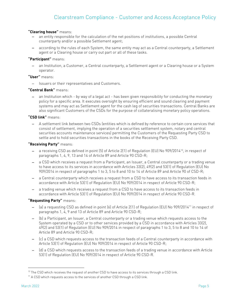#### **"Clearing house"** means:

- − an entity responsible for the calculation of the net positions of institutions, a possible Central counterparty and/or a possible Settlement agent;
- − according to the rules of each System, the same entity may act as a Central counterparty, a Settlement agent or a Clearing house or carry out part or all of these tasks.

#### **"Participant"** means:

− an Institution, a Customer, a Central counterparty, a Settlement agent or a Clearing house or a System operator.

#### **"User"** means:

− Issuers or their representatives and Customers.

#### **"Central Bank"** means:

− an Institution which - by way of a legal act - has been given responsibility for conducting the monetary policy for a specific area. It executes oversight by ensuring efficient and sound clearing and payment systems and may act as Settlement agent for the cash leg of securities transactions. Central Banks are also significant Customers of the CSDs for the purpose of collateralising monetary policy operations.

#### **"CSD link"** means:

− A settlement link between two CSDs (entities which is defined by reference to certain core services that consist of settlement, implying the operation of a securities settlement system, notary and central securities accounts maintenance services) permitting the Customers of the Requesting Party CSD to settle and to hold securities transactions in the books of the Receiving Party CSD.

#### **"Receiving Party"** means:

- − a receiving CSD as defined in point (5) of Article 2(1) of Regulation (EU) No 909/201410, in respect of paragraphs 1, 4, 9, 13 and 14 of Article 89 and Article 90 CSD-R;
- − a CSD which receives a request from a Participant, an Issuer, a Central counterparty or a trading venue to have access to its services in accordance with Articles 33(2), 49(2) and 53(1) of Regulation (EU) No 909/2014 in respect of paragraphs 1 to 3, 5 to 8 and 10 to 14 of Article 89 and Article 90 of CSD-R;
- − a Central counterparty which receives a request from a CSD to have access to its transaction feeds in accordance with Article 53(1) of Regulation (EU) No 909/2014 in respect of Article 90 CSD-R;
- − a trading venue which receives a request from a CSD to have access to its transaction feeds in accordance with Article 53(1) of Regulation (EU) No 909/2014 in respect of Article 90 CSD-R.

#### **"Requesting Party"** means:

- − (a) a requesting CSD as defined in point (6) of Article 2(1) of Regulation (EU) No 909/2014<sup>11</sup> in respect of paragraphs 1, 4, 9 and 13 of Article 89 and Article 90 CSD-R;
- − (b) a Participant, an Issuer, a Central counterparty or a trading venue which requests access to the System operated by a CSD or to other services provided by a CSD in accordance with Articles 33(2), 49(2) and 53(1) of Regulation (EU) No 909/2014 in respect of paragraphs 1 to 3, 5 to 8 and 10 to 14 of Article 89 and Article 90 CSD-R;
- − (c) a CSD which requests access to the transaction feeds of a Central counterparty in accordance with Article 53(1) of Regulation (EU) No 909/2014 in respect of Article 90 CSD-R;
- − (d) a CSD which requests access to the transaction feeds of a trading venue in accordance with Article 53(1) of Regulation (EU) No 909/2014 in respect of Article 90 CSD-R.

<sup>&</sup>lt;sup>10</sup> The CSD which receives the request of another CSD to have access to its services through a CSD link.

<sup>&</sup>lt;sup>11</sup> A CSD which requests access to the services of another CSD through a CSD link.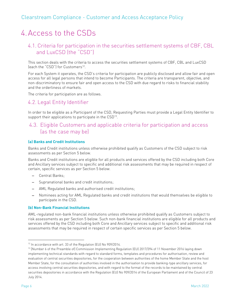## <span id="page-5-0"></span>4.Access to the CSDs

## <span id="page-5-1"></span>4.1. Criteria for participation in the securities settlement systems of CBF, CBL and LuxCSD (the "CSD")

This section deals with the criteria to access the securities settlement systems of CBF, CBL and LuxCSD (each the "CSD") for Customers<sup>12</sup> .

For each System it operates, the CSD's criteria for participation are publicly disclosed and allow fair and open access for all legal persons that intend to become Participants. The criteria are transparent, objective, and non-discriminatory to ensure fair and open access to the CSD with due regard to risks to financial stability and the orderliness of markets.

The criteria for participation are as follows.

### <span id="page-5-2"></span>4.2. Legal Entity Identifier

In order to be eligible as a Participant of the CSD, Requesting Parties must provide a Legal Entity Identifier to support their applications to participate in the CSD<sup>13</sup>.

### <span id="page-5-3"></span>4.3. Eligible Customers and applicable criteria for participation and access (as the case may be)

#### **(a) Banks and Credit Institutions**

Banks and Credit institutions unless otherwise prohibited qualify as Customers of the CSD subject to risk assessments as per Section 5 below.

Banks and Credit institutions are eligible for all products and services offered by the CSD including both Core and Ancillary services subject to specific and additional risk assessments that may be required in respect of certain, specific services as per Section 5 below.

- − Central Banks;
- − Supranational banks and credit institutions;
- − AML Regulated banks and authorised credit institutions;
- − Nominees acting for AML Regulated banks and credit institutions that would themselves be eligible to participate in the CSD.

#### **(b) Non-Bank Financial Institutions**

AML-regulated non-bank financial institutions unless otherwise prohibited qualify as Customers subject to risk assessments as per Section 5 below. Such non-bank financial institutions are eligible for all products and services offered by the CSD including both Core and Ancillary services subject to specific and additional risk assessments that may be required in respect of certain specific services as per Section 5 below.

<sup>&</sup>lt;sup>12</sup> In accordance with art. 33 of the Regulation (EU) No 909/2014.

<sup>&</sup>lt;sup>13</sup> [Number 6 of the Preamble of] Commission Implementing Regulation (EU) 2017/394 of 11 November 2016 laying down implementing technical standards with regard to standard forms, templates and procedures for authorisation, review and evaluation of central securities depositories, for the cooperation between authorities of the home Member State and the host Member State, for the consultation of authorities involved in the authorisation to provide banking-type ancillary services, for access involving central securities depositories, and with regard to the format of the records to be maintained by central securities depositories in accordance with the Regulation (EU) No 909/2014 of the European Parliament and of the Council of 23 July 2014.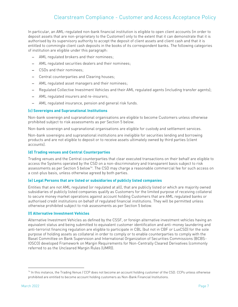In particular, an AML-regulated non-bank financial institution is eligible to open client accounts (in order to deposit assets that are non-proprietary to the Customer) only to the extent that it can demonstrate that it is authorised by its supervisory authority to accept the deposit of client assets and client cash and that it is entitled to commingle client cash deposits in the books of its correspondent banks. The following categories of institution are eligible under this paragraph:

- − AML regulated brokers and their nominees;
- − AML regulated securities dealers and their nominees;
- − CSDs and their nominees;
- − Central counterparties and Clearing houses;
- − AML regulated asset managers and their nominees;
- − Regulated Collective Investment Vehicles and their AML regulated agents (including transfer agents);
- − AML regulated insurers and re-insurers;
- − AML regulated insurance, pension and general risk funds.

#### **(c) Sovereigns and Supranational Institutions**

Non-bank sovereign and supranational organisations are eligible to become Customers unless otherwise prohibited subject to risk assessments as per Section 5 below.

Non-bank sovereign and supranational organisations are eligible for custody and settlement services.

Non-bank sovereigns and supranational institutions are ineligible for securities lending and borrowing products and are not eligible to deposit or to receive assets ultimately owned by third parties (client accounts).

#### **(d) Trading venues and Central Counterparties**

Trading venues and the Central counterparties that clear executed transactions on their behalf are eligible to access the Systems operated by the CSD on a non-discriminatory and transparent basis subject to risk assessments as per Section 5 below $^{14}$ . The CSD may charge a reasonable commercial fee for such access on  $\,$ a cost-plus basis, unless otherwise agreed by both parties.

#### **(e) Legal Persons that are listed or subsidiaries of publicly listed companies**

Entities that are not AML regulated (or regulated at all), that are publicly listed or which are majority owned subsidiaries of publicly listed companies qualify as Customers for the limited purpose of receiving collateral to secure money market operations against account holding Customers that are AML regulated banks or authorised credit institutions on behalf of regulated financial institutions. They will be permitted unless otherwise prohibited subject to risk assessments as per Section 5 below.

#### **(f) Alternative Investment Vehicles**

Alternative Investment Vehicles as defined by the CSSF, or foreign alternative investment vehicles having an equivalent status and being submitted to equivalent customer identification and anti-money laundering and anti-terrorist financing regulation are eligible to participate in CBL (but not in CBF or LuxCSD) for the sole purpose of holding assets as collateral in order to comply or to enable counterparties to comply with the Basel Committee on Bank Supervision and International Organization of Securities Commissions (BCBS-IOSCO) developed Framework on Margin Requirements for Non-Centrally Cleared Derivatives (commonly referred to as the Uncleared Margin Rules (UMR)).

<sup>&</sup>lt;sup>14</sup> In this instance, the Trading Venue / CCP does not become an account holding customer of the CSD. CCPs unless otherwise prohibited are entitled to become account holding customers as Non-Bank Financial Institutions.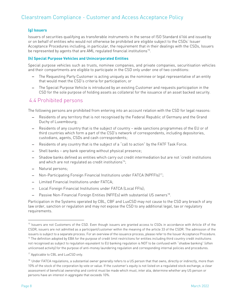#### **(g) Issuers**

Issuers of securities qualifying as transferable instruments in the sense of ISO Standard 6166 and issued by or on behalf of entities who would not otherwise be prohibited are eligible subject to the CSDs' Issuer Acceptance Procedures including, in particular, the requirement that in their dealings with the CSDs, Issuers be represented by agents that are AML regulated financial institutions<sup>15</sup>.

#### **(h) Special Purpose Vehicles and Unincorporated Entities**

Special purpose vehicles such as trusts, nominee companies, and private companies, securitisation vehicles and their compartments are eligible to participate in the CSD only under one of two conditions:

- − The Requesting Party Customer is acting uniquely as the nominee or legal representative of an entity that would meet the CSD's criteria for participation; or
- − The Special Purpose Vehicle is introduced by an existing Customer and requests participation in the CSD for the sole purpose of holding assets as collateral for the issuance of an asset backed security.

### <span id="page-7-0"></span>4.4 Prohibited persons

The following persons are prohibited from entering into an account relation with the CSD for legal reasons:

- − Residents of any territory that is not recognised by the Federal Republic of Germany and the Grand Duchy of Luxembourg;
- − Residents of any country that is the subject of country wide sanctions programmes of the EU or of third countries which form a part of the CSD's network of correspondents, including depositories, custodians, agents, CSDs and cash correspondents;
- − Residents of any country that is the subject of a "call to action" by the FATF Task Force.
- − Shell banks any bank operating without physical presence;
- − Shadow banks defined as entities which carry out credit intermediation but are not 'credit institutions and which are not regulated as credit institutions<sup>16</sup>;
- − Natural persons;
- − Non-Participating Foreign Financial Institutions under FATCA (NPFFIs)<sup>17</sup>;
- − Limited Financial Institutions under FATCA;
- − Local Foreign Financial Institutions under FATCA (Local FFIs);
- − Passive Non-Financial Foreign Entities (NFFEs) with substantial US owners<sup>18</sup>.

Participation in the Systems operated by CBL, CBF and LuxCSD may not cause to the CSD any breach of any law order, sanction or regulation and may not expose the CSD to any additional legal, tax or regulatory requirements.

<sup>&</sup>lt;sup>15</sup> Issuers are not Customers of the CSD. Even though issuers are granted access to CSDs in accordance with Article 49 of the CSDR, issuers are not admitted as a participant/customer within the meaning of the article 33 of the CSDR. The admission of the issuers is subject to a separate process. For an overview of the issuance process, please refer to the Issuer Acceptance Procedure. <sup>16</sup> The definition adopted by EBA for the purpose of credit limit restrictions for entities including third country credit institutions not recognised as subject to regulation equivalent to EU banking regulation is NOT to be confused with "shadow banking" (often unlicensed activity) for the purpose of anti-money laundering regulation and corresponding internal policies and procedures.

<sup>&</sup>lt;sup>17</sup> Applicable to CBL and LuxCSD only.

<sup>&</sup>lt;sup>18</sup> Under FATCA regulations, a substantial owner generally refers to a US person that that owns, directly or indirectly, more than 10% of the stock of the corporation by vote or value. If the customer's equity is not listed on a regulated stock exchange, a clear assessment of beneficial ownership and control must be made which must, inter alia, determine whether any US person or persons have an interest in aggregate that exceeds 10%.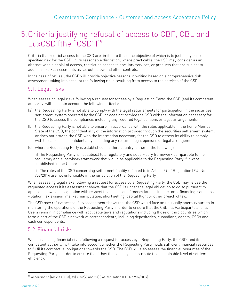## <span id="page-8-0"></span>5.Criteria justifying refusal of access to CBF, CBL and LuxCSD (the "CSD")<sup>19</sup>

Criteria that restrict access to the CSD are limited to those the objective of which is to justifiably control a specified risk for the CSD. In its reasonable discretion, where practicable, the CSD may consider as an alternative to a denial of access, restricting access to ancillary services, or products that are subject to additional risk assessments as set out below and other controls.

In the case of refusal, the CSD will provide objective reasons in writing based on a comprehensive risk assessment taking into account the following risks resulting from access to the services of the CSD.

## <span id="page-8-1"></span>5.1. Legal risks

When assessing legal risks following a request for access by a Requesting Party, the CSD [and its competent authority] will take into account the following criteria:

- (a) the Requesting Party is not able to comply with the legal requirements for participation in the securities settlement system operated by the CSD, or does not provide the CSD with the information necessary for the CSD to assess the compliance, including any required legal opinions or legal arrangements;
- (b) the Requesting Party is not able to ensure, in accordance with the rules applicable in the home Member State of the CSD, the confidentiality of the information provided through the securities settlement system, or does not provide the CSD with the information necessary for the CSD to assess its ability to comply with those rules on confidentiality, including any required legal opinions or legal arrangements;
- (c) where a Requesting Party is established in a third country, either of the following:

(i) The Requesting Party is not subject to a regulatory and supervisory framework comparable to the regulatory and supervisory framework that would be applicable to the Requesting Party if it were established in the Union:

(ii) The rules of the CSD concerning settlement finality referred to in Article 39 of Regulation (EU) No 909/2014 are not enforceable in the jurisdiction of the Requesting Party

When assessing legal risks following a request for access by a Requesting Party, the CSD may refuse the requested access if its assessment shows that the CSD is under the legal obligation to do so pursuant to applicable laws and regulation with respect to a suspicion of money laundering, terrorist financing, sanctions violation, tax evasion, market manipulation, short selling, capital flight or other breach of law.

The CSD may refuse access if its assessment shows that the CSD would face an unusually onerous burden in monitoring the operations of the Requesting Party in order to ensure that the CSD, its Participants and its Users remain in compliance with applicable laws and regulations including those of third countries which form a part of the CSD's network of correspondents, including depositories, custodians, agents, CSDs and cash correspondents.

## <span id="page-8-2"></span>5.2. Financial risks

When assessing financial risks following a request for access by a Requesting Party, the CSD (and its competent authority] will take into account whether the Requesting Party holds sufficient financial resources to fulfil its contractual obligations towards the CSD. The CSD will also assess the financial resources of the Requesting Party in order to ensure that it has the capacity to contribute to a sustainable level of settlement efficiency.

<sup>19</sup> According to (Articles 33(3), 49(3), 52(2) and 53(3) of Regulation (EU) No 909/2014)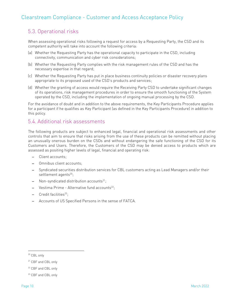## <span id="page-9-0"></span>5.3. Operational risks

When assessing operational risks following a request for access by a Requesting Party, the CSD and its competent authority will take into account the following criteria:

- (a) Whether the Requesting Party has the operational capacity to participate in the CSD, including connectivity, communication and cyber risk considerations;
- (b) Whether the Requesting Party complies with the risk management rules of the CSD and has the necessary expertise in that regard;
- (c) Whether the Requesting Party has put in place business continuity policies or disaster recovery plans appropriate to its proposed used of the CSD's products and services;
- (d) Whether the granting of access would require the Receiving Party CSD to undertake significant changes of its operations, risk management procedures in order to ensure the smooth functioning of the System operated by the CSD, including the implementation of ongoing manual processing by the CSD.

For the avoidance of doubt and in addition to the above requirements, the Key Participants Procedure applies for a participant if he qualifies as Key Participant (as defined in the Key Participants Procedure) in addition to this policy.

### <span id="page-9-1"></span>5.4. Additional risk assessments

The following products are subject to enhanced legal, financial and operational risk assessments and other controls that aim to ensure that risks arising from the use of these products can be remitted without placing an unusually onerous burden on the CSDs and without endangering the safe functioning of the CSD for its Customers and Users. Therefore, the Customers of the CSD may be denied access to products which are assessed as positing higher levels of legal, financial and operating risk:

- − Client accounts;
- − Omnibus client accounts;
- − Syndicated securities distribution services for CBL customers acting as Lead Managers and/or their settlement agents<sup>20</sup>;
- − Non-syndicated distribution accounts<sup>21</sup>;
- − Vestima Prime Alternative fund accounts<sup>22</sup>;
- − Credit facilities<sup>23</sup>;
- − Accounts of US Specified Persons in the sense of FATCA.

<sup>&</sup>lt;sup>20</sup> CBL only

<sup>21</sup> CBF and CBL only

<sup>22</sup> CBF and CBL only

<sup>&</sup>lt;sup>23</sup> CBF and CBL only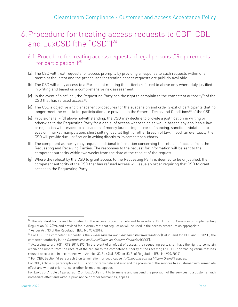## <span id="page-10-0"></span>6.Procedure for treating access requests to CBF, CBL and LuxCSD (the "CSD")<sup>24</sup>

### <span id="page-10-1"></span>6.1. Procedure for treating access requests of legal persons ("Requirements for participation" $]^{25}$

- (a) The CSD will treat requests for access promptly by providing a response to such requests within one month at the latest and the procedures for treating access requests are publicly available.
- (b) The CSD will deny access to a Participant meeting the criteria referred to above only where duly justified in writing and based on a comprehensive risk assessment.
- (c) In the event of a refusal, the Requesting Party has the right to complain to the competent authority<sup>26</sup> of the CSD that has refused access<sup>27</sup>.
- (d) The CSD's objective and transparent procedures for the suspension and orderly exit of participants that no longer meet the criteria for participation are provided in the General Terms and Conditions<sup>28</sup> of the CSD.
- (e) Provisions (a) (d) above notwithstanding, the CSD may decline to provide a justification in writing or otherwise to the Requesting Party for a denial of access where to do so would breach any applicable law or regulation with respect to a suspicion of money laundering, terrorist financing, sanctions violation, tax evasion, market manipulation, short selling, capital flight or other breach of law. In such an eventuality, the CSD will provide due justification in writing directly to its competent authority.
- (f) The competent authority may request additional information concerning the refusal of access from the Requesting and Receiving Parties. The responses to the request for information will be sent to the competent authority within two weeks from the date of the receipt of the request.
- (g) Where the refusal by the CSD to grant access to the Requesting Party is deemed to be unjustified, the competent authority of the CSD that has refused access will issue an order requiring that CSD to grant access to the Requesting Party.

 $24$  The standard forms and templates for the access procedure referred to in article 12 of the EU Commission Implementing Regulation 2017/394 and provided for in Annex V of that regulation will be used in the access procedure as appropriate. <sup>25</sup> As per Art. 33 of the Regulation (EU) No 909/2014.

<sup>&</sup>lt;sup>26</sup> For CBF; the competent authority is the *Bundesanstalt für Finanzdienstleistungsauficht* (BaFin) and for CBL and LuxCSD, the competent authority is the *Commission de Surveillance du Secteur Financier* (CSSF).

 $27$  According to art. 90(1) RTS 2017/392 "In the event of a refusal of access, the requesting party shall have the right to complain within one month from the receipt of the refusal to the competent authority of the receiving CSD, CCP or trading venue that has refused access to it in accordance with Articles 33(3), 49(4), 52(2) or 53(3) of Regulation (EU) No 909/2014".

<sup>&</sup>lt;sup>28</sup> For CBF, Section VI paragraph 3 on termination for good cause ("Kündigung aus wichtigem Grund") applies.

For CBL, Article 56 paragraph 2 on CBL's right to terminate and suspend the provision of the services to a customer with immediate effect and without prior notice or other formalities, applies.

For LuxCSD, Article 54 paragraph 2 on LuxCSD's right to terminate and suspend the provision of the services to a customer with immediate effect and without prior notice or other formalities, applies.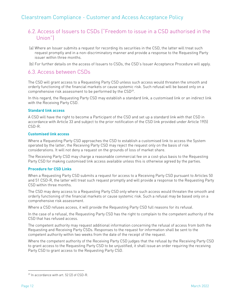## <span id="page-11-0"></span>6.2. Access of Issuers to CSDs ("Freedom to issue in a CSD authorised in the Union")

(a) Where an Issuer submits a request for recording its securities in the CSD, the latter will treat such request promptly and in a non-discriminatory manner and provide a response to the Requesting Party issuer within three months.

(b) For further details on the access of Issuers to CSDs, the CSD's Issuer Acceptance Procedure will apply.

### <span id="page-11-1"></span>6.3. Access between CSDs

The CSD will grant access to a Requesting Party CSD unless such access would threaten the smooth and orderly functioning of the financial markets or cause systemic risk. Such refusal will be based only on a comprehensive risk assessment to be performed by the  $\mathsf{CSD}^{29}.$ 

In this regard, the Requesting Party CSD may establish a standard link, a customised link or an indirect link with the Receiving Party CSD.

#### **Standard link access**

A CSD will have the right to become a Participant of the CSD and set up a standard link with that CSD in accordance with Article 33 and subject to the prior notification of the CSD link provided under Article 19(5) CSD-R.

#### **Customised link access**

Where a Requesting Party CSD approaches the CSD to establish a customised link to access the System operated by the latter, the Receiving Party CSD may reject the request only on the basis of risk considerations. It will not deny a request on the grounds of loss of market share.

The Receiving Party CSD may charge a reasonable commercial fee on a cost-plus basis to the Requesting Party CSD for making customised link access available unless this is otherwise agreed by the parties.

#### **Procedure for CSD Links**

When a Requesting Party CSD submits a request for access to a Receiving Party CSD pursuant to Articles 50 and 51 CSD-R, the latter will treat such request promptly and will provide a response to the Requesting Party CSD within three months.

The CSD may deny access to a Requesting Party CSD only where such access would threaten the smooth and orderly functioning of the financial markets or cause systemic risk. Such a refusal may be based only on a comprehensive risk assessment.

Where a CSD refuses access, it will provide the Requesting Party CSD full reasons for its refusal.

In the case of a refusal, the Requesting Party CSD has the right to complain to the competent authority of the CSD that has refused access.

The competent authority may request additional information concerning the refusal of access from both the Requesting and Receiving Party CSDs. Responses to the request for information shall be sent to the competent authority within two weeks from the date of the receipt of the request.

Where the competent authority of the Receiving Party CSD judges that the refusal by the Receiving Party CSD to grant access to the Requesting Party CSD to be unjustified, it shall issue an order requiring the receiving Party CSD to grant access to the Requesting Party CSD.

<sup>&</sup>lt;sup>29</sup> In accordance with art. 52 (2) of CSD-R.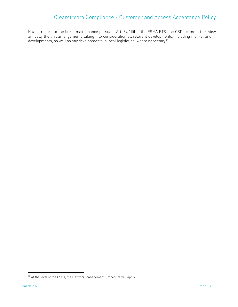Having regard to the link's maintenance pursuant Art. 84(1)(i) of the ESMA RTS, the CSDs commit to review annually the link arrangements taking into consideration all relevant developments, including market and IT developments, as well as any developments in local legislation, where necessary $^{30}\cdot$ 

<sup>&</sup>lt;sup>30</sup> At the level of the CSDs, the Network Management Procedure will apply.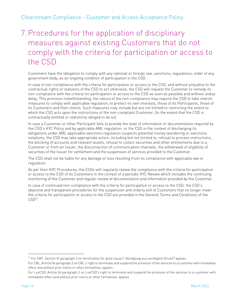## <span id="page-13-0"></span>7.Procedures for the application of disciplinary measures against existing Customers that do not comply with the criteria for participation or access to the CSD

Customers have the obligation to comply with any national or foreign law, sanctions, regulations, order of any government body, as an ongoing condition of participation in the CSD.

In case of non-compliance with the criteria for participation or access to the CSD, and without prejudice to the contractual rights or statutory of the CSD to act otherwise, the CSD will request the Customer to remedy its non-compliance with the criteria for participation or access to the CSD as soon as possible and without undue delay. This provision notwithstanding, the nature of the non-compliance may require the CSD to take interim measures to comply with applicable regulation, to protect its own interests, those of its Participants, those of its Customers and their clients. Such measures may include but are not limited to restricting the extent to which the CSD acts upon the instructions of the non-compliant Customer, (to the extent that the CSD is contractually entitled or statutorily obliged to do so).

In case a Customer or other Participant fails to provide the level of information or documentation required by the CSD's KYC Policy and by applicable AML regulation, or the CSD in the context of discharging its obligations under AML applicable sanctions regulation suspects potential money laundering or sanctions violations, the CSD may take appropriate action, including but not limited to, refusal to process instructions, the blocking of accounts and relevant assets, refusal to collect securities and other entitlements due to a Customer or from an Issuer, the disconnection of communication channels, the withdrawal of eligibility of securities of the Issuer for settlement and the suspension of services provided to the Customer.

The CSD shall not be liable for any damage or loss resulting from its compliance with applicable law or regulation.

As per their KYC Procedures, the CSDs will regularly review the compliance with the criteria for participation or access to the CSD of its Customers in the context of a periodic KYC Review which includes the continuing monitoring of the Customer and regular review of documentation and information provided by the Customer.

In case of continued non-compliance with the criteria for participation or access to the CSD, the CSD's objective and transparent procedures for the suspension and orderly exit of Customers that no longer meet the criteria for participation or access to the CSD are provided in the General Terms and Conditions of the  $CSD<sup>31</sup>$ .

<sup>&</sup>lt;sup>31</sup> For CBF, Section VI paragraph 3 on termination for good cause ("Kündigung aus wichtigem Grund") applies.

For CBL, Article 56 paragraph 2 on CBL's right to terminate and suspend the provision of the services to a customer with immediate effect and without prior notice or other formalities, applies.

For LuxCSD, Article 54 paragraph 2 on LuxCSD's right to terminate and suspend the provision of the services to a customer with immediate effect and without prior notice or other formalities, applies.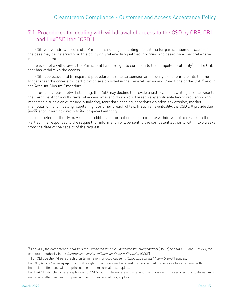## <span id="page-14-0"></span>7.1. Procedures for dealing with withdrawal of access to the CSD by CBF, CBL and LuxCSD (the "CSD")

The CSD will withdraw access of a Participant no longer meeting the criteria for participation or access, as the case may be, referred to in this policy only where duly justified in writing and based on a comprehensive risk assessment.

In the event of a withdrawal, the Participant has the right to complain to the competent authority<sup>32</sup> of the CSD that has withdrawn the access.

The CSD's objective and transparent procedures for the suspension and orderly exit of participants that no longer meet the criteria for participation are provided in the General Terms and Conditions of the CSD<sup>33</sup> and in the Account Closure Procedure.

The provisions above notwithstanding, the CSD may decline to provide a justification in writing or otherwise to the Participant for a withdrawal of access where to do so would breach any applicable law or regulation with respect to a suspicion of money laundering, terrorist financing, sanctions violation, tax evasion, market manipulation, short selling, capital flight or other breach of law. In such an eventuality, the CSD will provide due justification in writing directly to its competent authority.

The competent authority may request additional information concerning the withdrawal of access from the Parties. The responses to the request for information will be sent to the competent authority within two weeks from the date of the receipt of the request.

<sup>&</sup>lt;sup>32</sup> For CBF; the competent authority is the *Bundesanstalt für Finanzdienstleistungsauficht* (BaFin) and for CBL and LuxCSD, the competent authority is the *Commission de Surveillance du Secteur Financier* (CSSF)

<sup>&</sup>lt;sup>33</sup> For CBF, Section VI paragraph 3 on termination for good cause ("Kündigung aus wichtigem Grund") applies.

For CBl, Article 56 paragraph 2 on CBL's right to terminate and suspend the provision of the services to a customer with immediate effect and without prior notice or other formalities, applies.

For LuxCSD, Article 54 paragraph 2 on LuxCSD's right to terminate and suspend the provision of the services to a customer with immediate effect and without prior notice or other formalities, applies.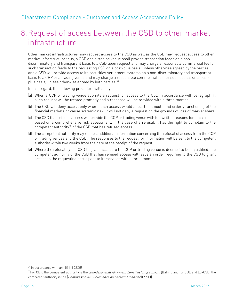## <span id="page-15-0"></span>8.Request of access between the CSD to other market infrastructure

Other market infrastructures may request access to the CSD as well as the CSD may request access to other market infrastructure thus, a CCP and a trading venue shall provide transaction feeds on a nondiscriminatory and transparent basis to a CSD upon request and may charge a reasonable commercial fee for such transaction feeds to the requesting CSD on a cost-plus basis, unless otherwise agreed by the parties and a CSD will provide access to its securities settlement systems on a non-discriminatory and transparent basis to a CPP or a trading venue and may charge a reasonable commercial fee for such access on a costplus basis, unless otherwise agreed by both parties 34.

In this regard, the following procedure will apply:

- (a) When a CCP or trading venue submits a request for access to the CSD in accordance with paragraph 1, such request will be treated promptly and a response will be provided within three months.
- (b) The CSD will deny access only where such access would affect the smooth and orderly functioning of the financial markets or cause systemic risk. It will not deny a request on the grounds of loss of market share.
- (c) The CSD that refuses access will provide the CCP or trading venue with full written reasons for such refusal based on a comprehensive risk assessment. In the case of a refusal, it has the right to complain to the competent authority<sup>35</sup> of the CSD that has refused access.
- (d) The competent authority may request additional information concerning the refusal of access from the CCP or trading venues and the CSD. The responses to the request for information will be sent to the competent authority within two weeks from the date of the receipt of the request.
- (e) Where the refusal by the CSD to grant access to the CCP or trading venue is deemed to be unjustified, the competent authority of the CSD that has refused access will issue an order requiring to the CSD to grant access to the requesting participant to its services within three months.

<sup>&</sup>lt;sup>34</sup> In accordance with art. 53 (1) CSDR

<sup>&</sup>lt;sup>35</sup>For CBF, the competent authority is the [*Bundesanstalt für Finanzdienstleistungsaufsicht* (BaFin)] and for CBL and LuxCSD, the competent authority is the [Commission de Surveillance du Secteur Financier (CSSF)]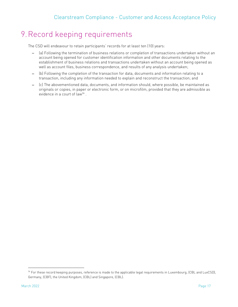## <span id="page-16-0"></span>9.Record keeping requirements

The CSD will endeavour to retain participants' records for at least ten (10) years:

- − (a) Following the termination of business relations or completion of transactions undertaken without an account being opened for customer identification information and other documents relating to the establishment of business relations and transactions undertaken without an account being opened as well as account files, business correspondence, and results of any analysis undertaken;
- − (b) Following the completion of the transaction for data, documents and information relating to a transaction, including any information needed to explain and reconstruct the transaction; and
- − (c) The abovementioned data, documents, and information should, where possible, be maintained as originals or copies, in paper or electronic form, or on microfilm, provided that they are admissible as evidence in a court of law<sup>36</sup>.

<sup>&</sup>lt;sup>36</sup> For these record keeping purposes, reference is made to the applicable legal requirements in Luxembourg, (CBL and LuxCSD), Germany, (CBF), the United Kingdom, (CBL) and Singapore, (CBL).